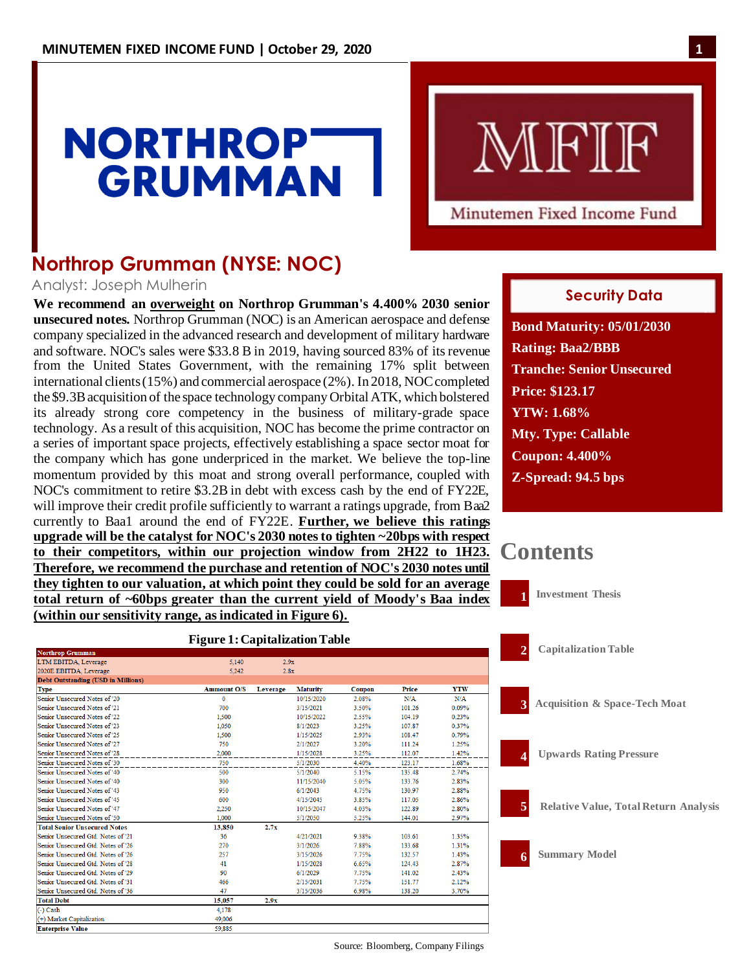# **NORTHROP GRUMMAN**

MFIF

# Minutemen Fixed Income Fund

Filings

# **Northrop Grumman (NYSE: NOC)**

### Analyst: Joseph Mulherin

**We recommend an overweight on Northrop Grumman's 4.400% 2030 senior unsecured notes.** Northrop Grumman (NOC) is an American aerospace and defense company specialized in the advanced research and development of military hardware and software. NOC's sales were \$33.8 B in 2019, having sourced 83% of itsrevenue from the United States Government, with the remaining 17% split between international clients (15%) and commercial aerospace (2%). In 2018, NOC completed the \$9.3B acquisition of the space technology company Orbital ATK, which bolstered its already strong core competency in the business of military-grade space technology. As a result of this acquisition, NOC has become the prime contractor on a series of important space projects, effectively establishing a space sector moat for the company which has gone underpriced in the market. We believe the top-line momentum provided by this moat and strong overall performance, coupled with NOC's commitment to retire \$3.2B in debt with excess cash by the end of FY22E, will improve their credit profile sufficiently to warrant a ratings upgrade, from Baa2 currently to Baa1 around the end of FY22E. **Further, we believe this ratings upgrade will be the catalyst for NOC's 2030 notes to tighten ~20bps with respect to their competitors, within our projection window from 2H22 to 1H23. Therefore, we recommend the purchase and retention of NOC's 2030 notes until they tighten to our valuation, at which point they could be sold for an average total return of ~60bps greater than the current yield of Moody's Baa index (within our sensitivity range, as indicated in Figure 6).**

# February 26, 2014 **Security Data**

**Bond Maturity: 05/01/2030 Rating: Baa2/BBB Tranche: Senior Unsecured Price: \$123.17 YTW: 1.68% Mty. Type: Callable Coupon: 4.400% Z-Spread: 94.5 bps**

# **Contents**



| тоталор оташшан                           |                    |          |                 |        |        |            |
|-------------------------------------------|--------------------|----------|-----------------|--------|--------|------------|
| LTM EBITDA, Leverage                      | 5.140              | 2.9x     |                 |        |        |            |
| 2020E EBITDA, Leverage                    | 5.242              | 2.8x     |                 |        |        |            |
| <b>Debt Outstanding (USD in Millions)</b> |                    |          |                 |        |        |            |
| <b>Type</b>                               | <b>Ammount O/S</b> | Leverage | <b>Maturity</b> | Coupon | Price  | <b>YTW</b> |
| Senior Unsecured Notes of '20             | $\bf{0}$           |          | 10/15/2020      | 2.08%  | N/A    | N/A        |
| Senior Unsecured Notes of '21             | 700                |          | 3/15/2021       | 3.50%  | 101.26 | 0.09%      |
| Senior Unsecured Notes of '22             | 1.500              |          | 10/15/2022      | 2.55%  | 104.19 | 0.23%      |
| Senior Unsecured Notes of '23             | 1.050              |          | 8/1/2023        | 3.25%  | 107.87 | 0.37%      |
| Senior Unsecured Notes of '25             | 1,500              |          | 1/15/2025       | 2.93%  | 108.47 | 0.79%      |
| Senior Unsecured Notes of '27             | 750                |          | 2/1/2027        | 3.20%  | 111.24 | 1.25%      |
| Senior Unsecured Notes of '28             | 2.000              |          | 1/15/2028       | 3.25%  | 112.07 | 1.42%      |
| Senior Unsecured Notes of '30             | 750                |          | 5/1/2030        | 4.40%  | 123.17 | 1.68%      |
| Senior Unsecured Notes of '40             | 500                |          | 5/1/2040        | 5.15%  | 135.48 | 2.74%      |
| Senior Unsecured Notes of '40             | 300                |          | 11/15/2040      | 5.05%  | 133.76 | 2.83%      |
| Senior Unsecured Notes of '43             | 950                |          | 6/1/2043        | 4.75%  | 130.97 | 2.88%      |
| Senior Unsecured Notes of '45             | 600                |          | 4/15/2045       | 3.85%  | 117.05 | 2.86%      |
| Senior Unsecured Notes of '47             | 2.250              |          | 10/15/2047      | 4.03%  | 122.89 | 2.80%      |
| Senior Unsecured Notes of '50             | 1,000              |          | 5/1/2050        | 5.25%  | 144.01 | 2.97%      |
| <b>Total Senior Unsecured Notes</b>       | 13,850             | 2.7x     |                 |        |        |            |
| Senior Unsecured Gtd. Notes of '21        | 36                 |          | 4/21/2021       | 9.38%  | 103.61 | 1.35%      |
| Senior Unsecured Gtd. Notes of '26        | 270                |          | 3/1/2026        | 7.88%  | 133.68 | 1.31%      |
| Senior Unsecured Gtd Notes of '26         | 257                |          | 3/15/2026       | 7.75%  | 132.57 | 1.43%      |
| Senior Unsecured Gtd. Notes of '28        | 41                 |          | 1/15/2028       | 6.65%  | 124.43 | 2.87%      |
| Senior Unsecured Gtd. Notes of '29        | 90                 |          | 6/1/2029        | 7.75%  | 141.02 | 2.43%      |
| Senior Unsecured Gtd. Notes of '31        | 466                |          | 2/15/2031       | 7.75%  | 151.77 | 2.12%      |
| Senior Unsecured Gtd. Notes of '36        | 47                 |          | 3/15/2036       | 6.98%  | 138.20 | 3.70%      |
| <b>Total Debt</b>                         | 15.057             | 2.9x     |                 |        |        |            |
| $(-)$ Cash                                | 4,178              |          |                 |        |        |            |
| (+) Market Capitalization                 | 49,006             |          |                 |        |        |            |
| <b>Enterprise Value</b>                   | 59.885             |          |                 |        |        |            |
|                                           |                    |          |                 |        |        |            |

# **Figure 1: Capitalization Table**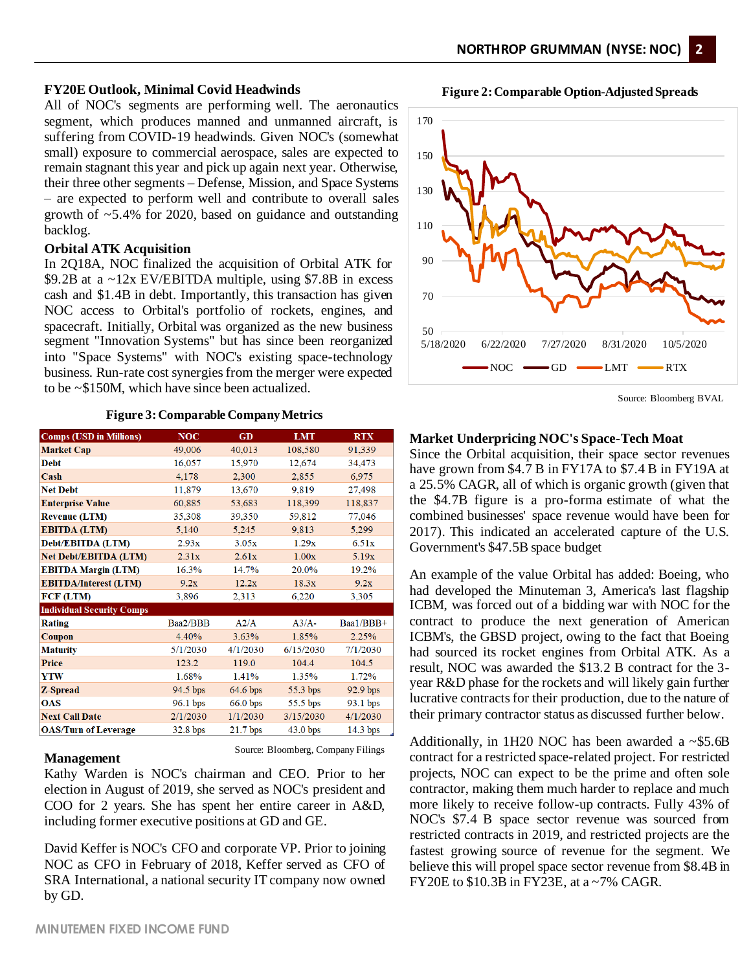**Figure 2:Comparable Option-Adjusted Spreads**

#### **FY20E Outlook, Minimal Covid Headwinds**

All of NOC's segments are performing well. The aeronautics segment, which produces manned and unmanned aircraft, is suffering from COVID-19 headwinds. Given NOC's (somewhat small) exposure to commercial aerospace, sales are expected to remain stagnant this year and pick up again next year. Otherwise, their three other segments – Defense, Mission, and Space Systems – are expected to perform well and contribute to overall sales growth of ~5.4% for 2020, based on guidance and outstanding backlog.

#### **Orbital ATK Acquisition**

In 2Q18A, NOC finalized the acquisition of Orbital ATK for \$9.2B at a ~12x EV/EBITDA multiple, using \$7.8B in excess cash and \$1.4B in debt. Importantly, this transaction has given NOC access to Orbital's portfolio of rockets, engines, and spacecraft. Initially, Orbital was organized as the new business segment "Innovation Systems" but has since been reorganized into "Space Systems" with NOC's existing space-technology business. Run-rate cost synergies from the merger were expected to be ~\$150M, which have since been actualized.

#### **Figure 3: Comparable Company Metrics**

| <b>Comps (USD in Millions)</b>   | <b>NOC</b> | <b>GD</b>  | <b>LMT</b> | <b>RTX</b> |  |
|----------------------------------|------------|------------|------------|------------|--|
| <b>Market Cap</b>                | 49,006     | 40,013     | 108,580    | 91,339     |  |
| <b>Debt</b>                      | 16,057     | 15,970     | 12,674     | 34,473     |  |
| Cash                             | 4,178      | 2,300      | 2,855      | 6,975      |  |
| <b>Net Debt</b>                  | 11,879     | 13,670     | 9,819      | 27,498     |  |
| <b>Enterprise Value</b>          | 60,885     | 53,683     | 118,399    | 118,837    |  |
| <b>Revenue (LTM)</b>             | 35,308     | 39,350     | 59,812     | 77,046     |  |
| <b>EBITDA (LTM)</b>              | 5,140      | 5,245      | 9,813      | 5,299      |  |
| Debt/EBITDA (LTM)                | 2.93x      | 3.05x      | 1.29x      | 6.51x      |  |
| <b>Net Debt/EBITDA (LTM)</b>     | 2.31x      | 2.61x      | 1.00x      | 5.19x      |  |
| <b>EBITDA Margin (LTM)</b>       | 16.3%      | 14.7%      | 20.0%      | 19.2%      |  |
| <b>EBITDA/Interest (LTM)</b>     | 9.2x       | 12.2x      | 18.3x      |            |  |
| FCF (LTM)                        | 3,896      | 2,313      | 6,220      | 3,305      |  |
| <b>Individual Security Comps</b> |            |            |            |            |  |
| <b>Rating</b>                    | Baa2/BBB   | A2/A       | $A3/A-$    | Baa1/BBB+  |  |
| Coupon                           | 4.40%      | 3.63%      | 1.85%      | 2.25%      |  |
| <b>Maturity</b>                  | 5/1/2030   | 4/1/2030   | 6/15/2030  | 7/1/2030   |  |
| <b>Price</b>                     | 123.2      | 119.0      | 104.4      | 104.5      |  |
| <b>YTW</b>                       | 1.68%      | 1.41%      | 1.35%      | 1.72%      |  |
| <b>Z-Spread</b>                  | 94.5 bps   | 64.6 bps   | 55.3 bps   | 92.9 bps   |  |
| <b>OAS</b>                       | 96.1 bps   | $66.0$ bps | 55.5 bps   | 93.1 bps   |  |
| <b>Next Call Date</b>            | 2/1/2030   | 1/1/2030   | 3/15/2030  | 4/1/2030   |  |
| <b>OAS/Turn of Leverage</b>      | $32.8$ bps | 21.7 bps   | $43.0$ bps | 14.3 bps   |  |

#### **Management**

Source: Bloomberg, Company Filings

Kathy Warden is NOC's chairman and CEO. Prior to her election in August of 2019, she served as NOC's president and COO for 2 years. She has spent her entire career in A&D, including former executive positions at GD and GE.

David Keffer is NOC's CFO and corporate VP. Prior to joining NOC as CFO in February of 2018, Keffer served as CFO of SRA International, a national security IT company now owned by GD.



Source: Bloomberg BVAL

#### **Market Underpricing NOC's Space-Tech Moat**

Since the Orbital acquisition, their space sector revenues have grown from \$4.7 B in FY17A to \$7.4 B in FY19A at a 25.5% CAGR, all of which is organic growth (given that the \$4.7B figure is a pro-forma estimate of what the combined businesses' space revenue would have been for 2017). This indicated an accelerated capture of the U.S. Government's \$47.5B space budget

An example of the value Orbital has added: Boeing, who had developed the Minuteman 3, America's last flagship ICBM, was forced out of a bidding war with NOC for the contract to produce the next generation of American ICBM's, the GBSD project, owing to the fact that Boeing had sourced its rocket engines from Orbital ATK. As a result, NOC was awarded the \$13.2 B contract for the 3 year R&D phase for the rockets and will likely gain further lucrative contracts for their production, due to the nature of their primary contractor status as discussed further below.

Additionally, in 1H20 NOC has been awarded a  $\sim$ \$5.6B contract for a restricted space-related project. For restricted projects, NOC can expect to be the prime and often sole contractor, making them much harder to replace and much more likely to receive follow-up contracts. Fully 43% of NOC's \$7.4 B space sector revenue was sourced from restricted contracts in 2019, and restricted projects are the fastest growing source of revenue for the segment. We believe this will propel space sector revenue from \$8.4B in FY20E to \$10.3B in FY23E, at a ~7% CAGR.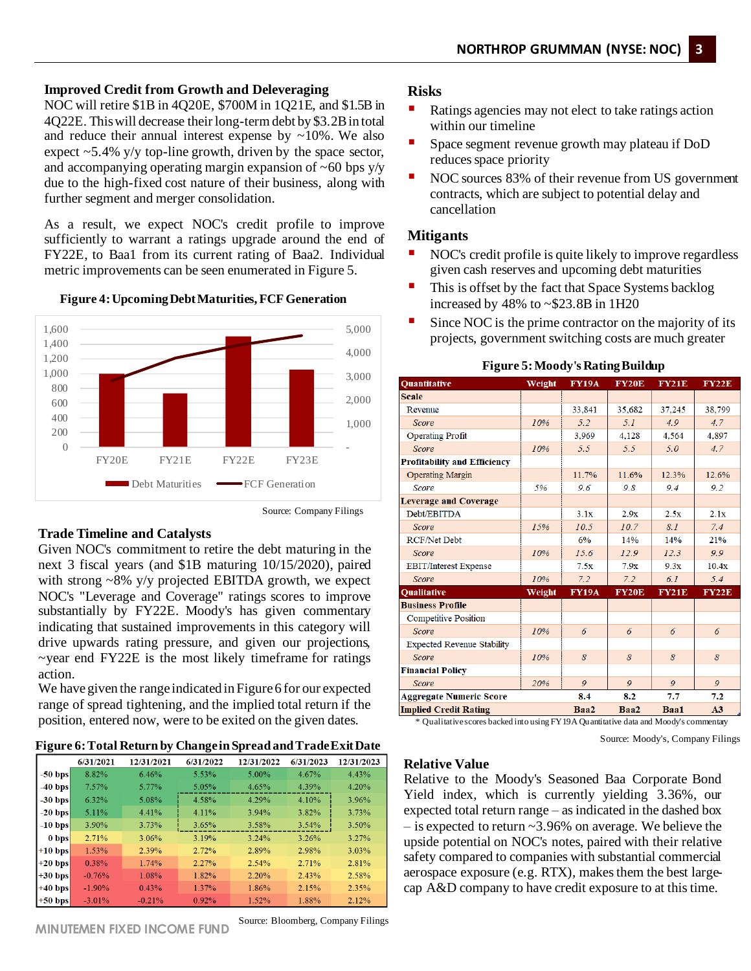### **Improved Credit from Growth and Deleveraging**

NOC will retire \$1B in 4Q20E, \$700M in 1Q21E, and \$1.5B in 4Q22E. This will decrease their long-term debt by \$3.2B in total and reduce their annual interest expense by  $\sim 10\%$ . We also expect  $\sim$  5.4% y/y top-line growth, driven by the space sector, and accompanying operating margin expansion of  $\sim 60$  bps y/y due to the high-fixed cost nature of their business, along with further segment and merger consolidation.

As a result, we expect NOC's credit profile to improve sufficiently to warrant a ratings upgrade around the end of FY22E, to Baa1 from its current rating of Baa2. Individual metric improvements can be seen enumerated in Figure 5.





Source: Company Filings

### **Trade Timeline and Catalysts**

Given NOC's commitment to retire the debt maturing in the next 3 fiscal years (and \$1B maturing 10/15/2020), paired with strong  $\sim 8\%$  y/y projected EBITDA growth, we expect NOC's "Leverage and Coverage" ratings scores to improve substantially by FY22E. Moody's has given commentary indicating that sustained improvements in this category will drive upwards rating pressure, and given our projections, ~year end FY22E is the most likely timeframe for ratings action.

We have given the range indicated in Figure 6 for our expected range of spread tightening, and the implied total return if the position, entered now, were to be exited on the given dates.

**Figure 6: Total Return by Change in Spread and Trade Exit Date**

|           | 6/31/2021 | 12/31/2021 | 6/31/2022 | 12/31/2022 | 6/31/2023 | 12/31/2023 |
|-----------|-----------|------------|-----------|------------|-----------|------------|
| $-50$ bps | 8.82%     | 6.46%      | 5.53%     | 5.00%      | 4.67%     | 4.43%      |
| $-40$ bps | 7.57%     | 5.77%      | 5.05%     | 4.65%      | 4.39%     | 4.20%      |
| $-30$ bps | $6.32\%$  | 5.08%      | 4.58%     | 4.29%      | 4.10%     | 3.96%      |
| $-20$ bps | 5.11%     | 4.41%      | 4.11%     | 3.94%      | 3.82%     | 3.73%      |
| $-10$ bps | 3.90%     | 3.73%      | 3.65%     | 3.58%      | $3.54\%$  | 3.50%      |
| 0 bps     | 2.71%     | 3.06%      | 3.19%     | 3.24%      | 3.26%     | 3.27%      |
| $+10$ bps | 1.53%     | 2.39%      | 2.72%     | 2.89%      | 2.98%     | 3.03%      |
| $+20$ bps | 0.38%     | 1.74%      | 2.27%     | 2.54%      | 2.71%     | 2.81%      |
| $+30$ bps | $-0.76%$  | 1.08%      | 1.82%     | 2.20%      | 2.43%     | 2.58%      |
| $+40$ bps | $-1.90\%$ | 0.43%      | $1.37\%$  | 1.86%      | 2.15%     | 2.35%      |
| $+50$ bps | $-3.01\%$ | $-0.21%$   | 0.92%     | 1.52%      | 1.88%     | 2.12%      |

# **Risks**

- Ratings agencies may not elect to take ratings action within our timeline
- Space segment revenue growth may plateau if DoD reduces space priority
- NOC sources 83% of their revenue from US government contracts, which are subject to potential delay and cancellation

# **Mitigants**

- NOC's credit profile is quite likely to improve regardless given cash reserves and upcoming debt maturities
- This is offset by the fact that Space Systems backlog increased by  $48\%$  to  $\sim$  \$23.8B in 1H20
- Since NOC is the prime contractor on the majority of its projects, government switching costs are much greater

| Weight                               | <b>FY19A</b> | <b>FY20E</b> | <b>FY21E</b> | <b>FY22E</b> |  |  |  |
|--------------------------------------|--------------|--------------|--------------|--------------|--|--|--|
|                                      |              |              |              |              |  |  |  |
|                                      | 33,841       | 35,682       | 37,245       | 38,799       |  |  |  |
| 10%                                  | 5.2          | 5.1          | 4.9          | 4.7          |  |  |  |
|                                      | 3,969        | 4,128        | 4.564        | 4,897        |  |  |  |
| 10%                                  | 5.5          | 5.5          | 5.0          | 4.7          |  |  |  |
|                                      |              |              |              |              |  |  |  |
|                                      | 11.7%        | 11.6%        | 12.3%        | 12.6%        |  |  |  |
| 5%                                   | 9.6          | 9.8          | 9.4          | 9.2          |  |  |  |
|                                      |              |              |              |              |  |  |  |
|                                      | 3.1x         | 2.9x         | 2.5x         | 2.1x         |  |  |  |
| 15%                                  | 10.5         | 10.7         | 8.1          | 7.4          |  |  |  |
|                                      | 6%           | 14%          | 14%          | 21%          |  |  |  |
| 10%                                  | 15.6         | 12.9         | 12.3         | 9.9          |  |  |  |
|                                      | 7.5x         | 7.9x         | 9.3x         | 10.4x        |  |  |  |
| 10%                                  | 7.2          | 7.2          | 6.1          | 5.4          |  |  |  |
| Weight                               | <b>FY19A</b> | <b>FY20E</b> | <b>FY21E</b> | <b>FY22E</b> |  |  |  |
|                                      |              |              |              |              |  |  |  |
|                                      |              |              |              |              |  |  |  |
| 10%                                  | 6            | 6            | 6            | 6            |  |  |  |
|                                      |              |              |              |              |  |  |  |
| 10%                                  | 8            | 8            | 8            | 8            |  |  |  |
|                                      |              |              |              |              |  |  |  |
| 20%                                  | 9            | 9            | 9            | 9            |  |  |  |
|                                      | 8.4          | 8.2          | 7.7          | 7.2          |  |  |  |
| <b>Implied Credit Rating</b><br>Baa2 |              |              |              |              |  |  |  |
|                                      |              |              | Baa2         | Baa1         |  |  |  |

#### **Figure 5: Moody's Rating Buildup**

Source: Moody's, Company Filings

#### **Relative Value**

Relative to the Moody's Seasoned Baa Corporate Bond Yield index, which is currently yielding 3.36%, our expected total return range – as indicated in the dashed box  $-$  is expected to return  $\sim$ 3.96% on average. We believe the upside potential on NOC's notes, paired with their relative safety compared to companies with substantial commercial aerospace exposure (e.g. RTX), makes them the best largecap A&D company to have credit exposure to at this time.